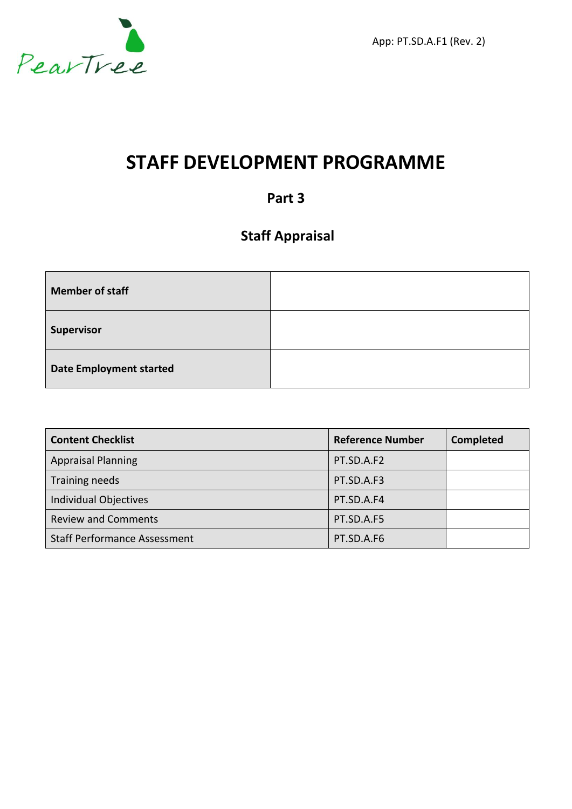

App: PT.SD.A.F1 (Rev. 2)

# **STAFF DEVELOPMENT PROGRAMME**

### **Part 3**

### **Staff Appraisal**

| <b>Member of staff</b>         |  |
|--------------------------------|--|
| Supervisor                     |  |
| <b>Date Employment started</b> |  |

| <b>Content Checklist</b>            | <b>Reference Number</b> | <b>Completed</b> |
|-------------------------------------|-------------------------|------------------|
| <b>Appraisal Planning</b>           | PT.SD.A.F2              |                  |
| Training needs                      | PT.SD.A.F3              |                  |
| <b>Individual Objectives</b>        | PT.SD.A.F4              |                  |
| <b>Review and Comments</b>          | PT.SD.A.F5              |                  |
| <b>Staff Performance Assessment</b> | PT.SD.A.F6              |                  |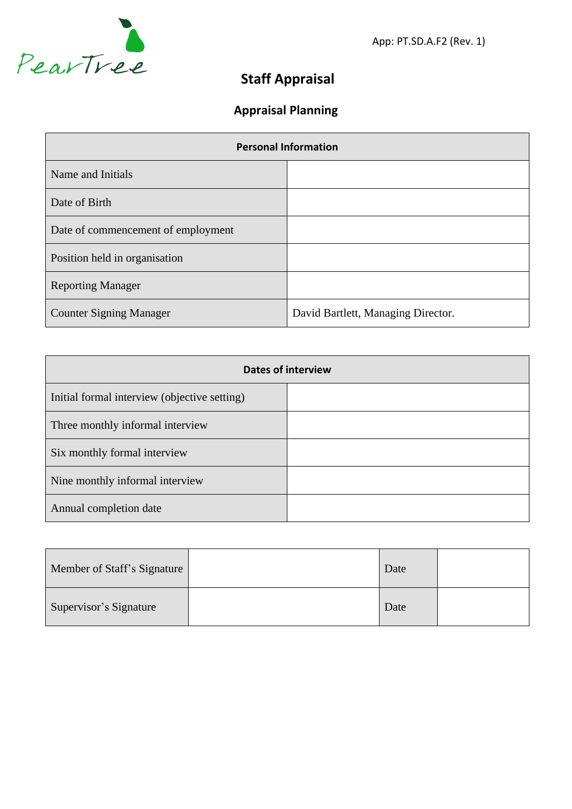

App: PT.SD.A.F2 (Rev. 1)

# **Staff Appraisal**

# **Appraisal Planning**

| <b>Personal Information</b>        |                                    |  |  |
|------------------------------------|------------------------------------|--|--|
| Name and Initials                  |                                    |  |  |
| Date of Birth                      |                                    |  |  |
| Date of commencement of employment |                                    |  |  |
| Position held in organisation      |                                    |  |  |
| <b>Reporting Manager</b>           |                                    |  |  |
| <b>Counter Signing Manager</b>     | David Bartlett, Managing Director. |  |  |

| <b>Dates of interview</b>                    |  |  |  |
|----------------------------------------------|--|--|--|
| Initial formal interview (objective setting) |  |  |  |
| Three monthly informal interview             |  |  |  |
| Six monthly formal interview                 |  |  |  |
| Nine monthly informal interview              |  |  |  |
| Annual completion date                       |  |  |  |

| Member of Staff's Signature | Date |  |
|-----------------------------|------|--|
| Supervisor's Signature      | Date |  |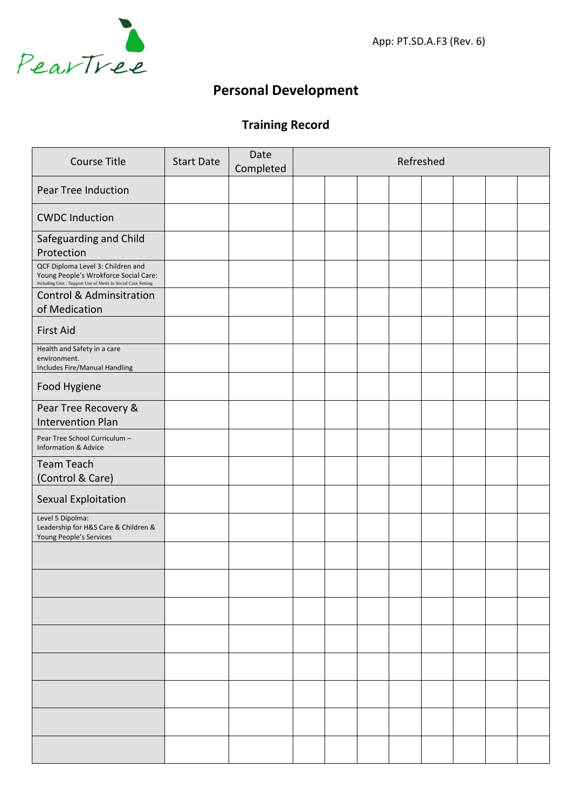

App: PT.SD.A.F3 (Rev. 6)

### **Personal Development**

### **Training Record**

| <b>Course Title</b>                                                                                                                      | <b>Start Date</b> | Date<br>Completed |  | Refreshed |  |  |
|------------------------------------------------------------------------------------------------------------------------------------------|-------------------|-------------------|--|-----------|--|--|
| Pear Tree Induction                                                                                                                      |                   |                   |  |           |  |  |
| <b>CWDC Induction</b>                                                                                                                    |                   |                   |  |           |  |  |
| Safeguarding and Child<br>Protection                                                                                                     |                   |                   |  |           |  |  |
| QCF Diploma Level 3: Children and<br>Young People's Wrokforce Social Care:<br>Including Unit: Support Use of Meds In Social Care Setting |                   |                   |  |           |  |  |
| <b>Control &amp; Adminsitration</b><br>of Medication                                                                                     |                   |                   |  |           |  |  |
| <b>First Aid</b>                                                                                                                         |                   |                   |  |           |  |  |
| Health and Safety in a care<br>environment.<br>Includes Fire/Manual Handling                                                             |                   |                   |  |           |  |  |
| Food Hygiene                                                                                                                             |                   |                   |  |           |  |  |
| Pear Tree Recovery &<br><b>Intervention Plan</b>                                                                                         |                   |                   |  |           |  |  |
| Pear Tree School Curriculum -<br><b>Information &amp; Advice</b>                                                                         |                   |                   |  |           |  |  |
| <b>Team Teach</b><br>(Control & Care)                                                                                                    |                   |                   |  |           |  |  |
| Sexual Exploitation                                                                                                                      |                   |                   |  |           |  |  |
| Level 5 Dipolma:<br>Leadership for H&S Care & Children &<br>Young People's Services                                                      |                   |                   |  |           |  |  |
|                                                                                                                                          |                   |                   |  |           |  |  |
|                                                                                                                                          |                   |                   |  |           |  |  |
|                                                                                                                                          |                   |                   |  |           |  |  |
|                                                                                                                                          |                   |                   |  |           |  |  |
|                                                                                                                                          |                   |                   |  |           |  |  |
|                                                                                                                                          |                   |                   |  |           |  |  |
|                                                                                                                                          |                   |                   |  |           |  |  |
|                                                                                                                                          |                   |                   |  |           |  |  |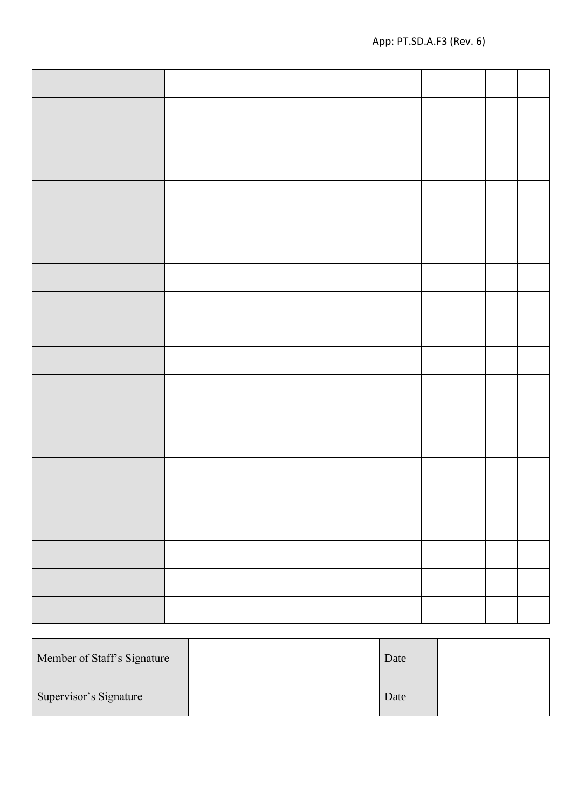| Member of Staff's Signature | Date |  |
|-----------------------------|------|--|
| Supervisor's Signature      | Date |  |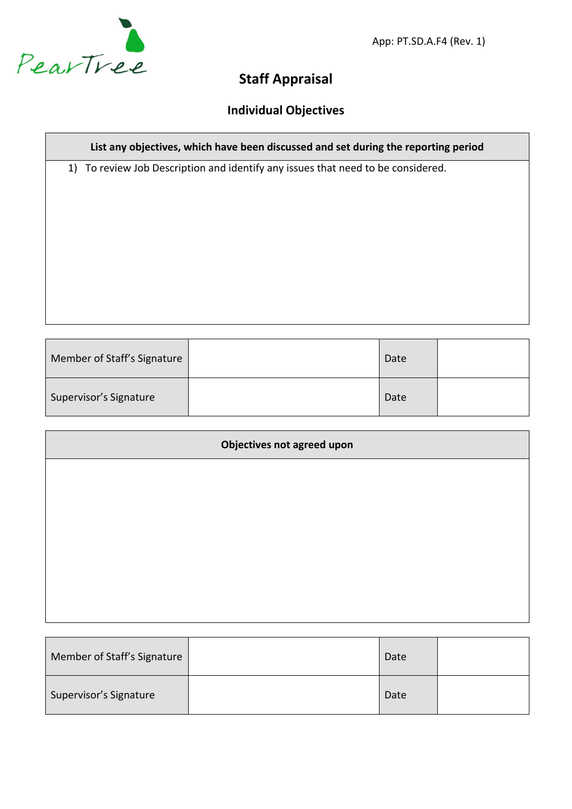

App: PT.SD.A.F4 (Rev. 1)

### **Staff Appraisal**

### **Individual Objectives**

#### **List any objectives, which have been discussed and set during the reporting period**

1) To review Job Description and identify any issues that need to be considered.

| Member of Staff's Signature | Date |  |
|-----------------------------|------|--|
| Supervisor's Signature      | Date |  |

| <b>Objectives not agreed upon</b> |  |  |  |  |
|-----------------------------------|--|--|--|--|
|                                   |  |  |  |  |
|                                   |  |  |  |  |
|                                   |  |  |  |  |
|                                   |  |  |  |  |
|                                   |  |  |  |  |
|                                   |  |  |  |  |

| Member of Staff's Signature | Date |  |
|-----------------------------|------|--|
| Supervisor's Signature      | Date |  |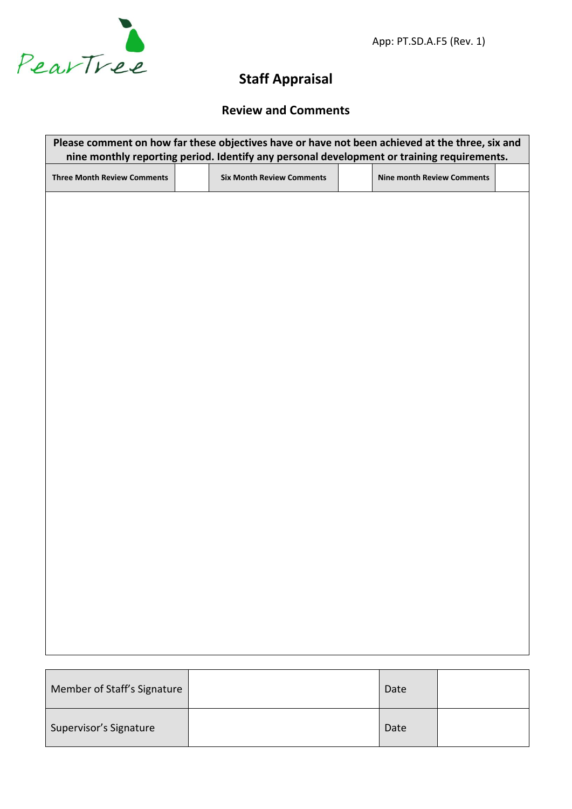

App: PT.SD.A.F5 (Rev. 1)

# **Staff Appraisal**

### **Review and Comments**

| Please comment on how far these objectives have or have not been achieved at the three, six and<br>nine monthly reporting period. Identify any personal development or training requirements. |                                  |                                   |  |  |  |
|-----------------------------------------------------------------------------------------------------------------------------------------------------------------------------------------------|----------------------------------|-----------------------------------|--|--|--|
| <b>Three Month Review Comments</b>                                                                                                                                                            | <b>Six Month Review Comments</b> | <b>Nine month Review Comments</b> |  |  |  |
|                                                                                                                                                                                               |                                  |                                   |  |  |  |
|                                                                                                                                                                                               |                                  |                                   |  |  |  |
|                                                                                                                                                                                               |                                  |                                   |  |  |  |
|                                                                                                                                                                                               |                                  |                                   |  |  |  |
|                                                                                                                                                                                               |                                  |                                   |  |  |  |
|                                                                                                                                                                                               |                                  |                                   |  |  |  |
|                                                                                                                                                                                               |                                  |                                   |  |  |  |
|                                                                                                                                                                                               |                                  |                                   |  |  |  |
|                                                                                                                                                                                               |                                  |                                   |  |  |  |
|                                                                                                                                                                                               |                                  |                                   |  |  |  |
|                                                                                                                                                                                               |                                  |                                   |  |  |  |
|                                                                                                                                                                                               |                                  |                                   |  |  |  |
|                                                                                                                                                                                               |                                  |                                   |  |  |  |
|                                                                                                                                                                                               |                                  |                                   |  |  |  |
|                                                                                                                                                                                               |                                  |                                   |  |  |  |
|                                                                                                                                                                                               |                                  |                                   |  |  |  |
|                                                                                                                                                                                               |                                  |                                   |  |  |  |
| Member of Staff's Signature                                                                                                                                                                   |                                  | Date                              |  |  |  |

| Member of Staff's Signature | Date |  |
|-----------------------------|------|--|
| Supervisor's Signature      | Date |  |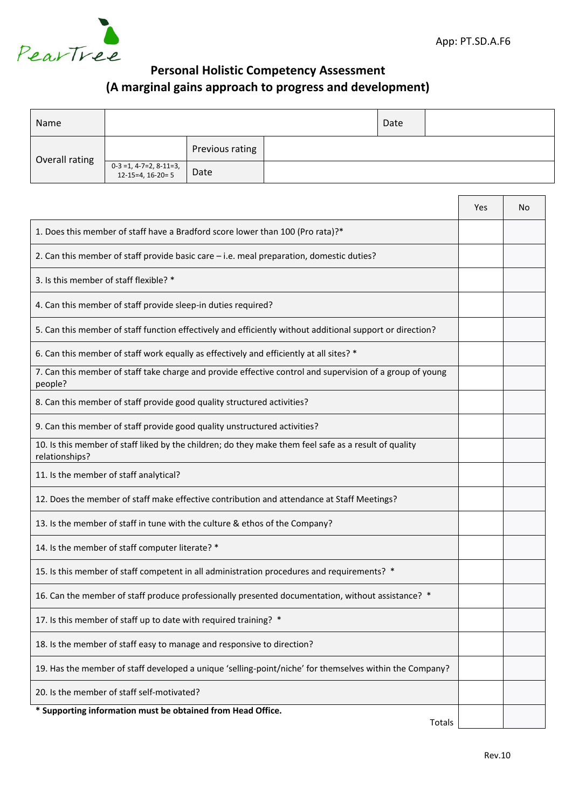

### **Personal Holistic Competency Assessment (A marginal gains approach to progress and development)**

| Name           |                                                |                 | Date |  |  |
|----------------|------------------------------------------------|-----------------|------|--|--|
| Overall rating |                                                | Previous rating |      |  |  |
|                | $0-3 = 1, 4-7=2, 8-11=3,$<br>12-15=4, 16-20= 5 | Date            |      |  |  |

|                                                                                                                         | Yes | No |
|-------------------------------------------------------------------------------------------------------------------------|-----|----|
| 1. Does this member of staff have a Bradford score lower than 100 (Pro rata)?*                                          |     |    |
| 2. Can this member of staff provide basic care $-$ i.e. meal preparation, domestic duties?                              |     |    |
| 3. Is this member of staff flexible? *                                                                                  |     |    |
| 4. Can this member of staff provide sleep-in duties required?                                                           |     |    |
| 5. Can this member of staff function effectively and efficiently without additional support or direction?               |     |    |
| 6. Can this member of staff work equally as effectively and efficiently at all sites? *                                 |     |    |
| 7. Can this member of staff take charge and provide effective control and supervision of a group of young<br>people?    |     |    |
| 8. Can this member of staff provide good quality structured activities?                                                 |     |    |
| 9. Can this member of staff provide good quality unstructured activities?                                               |     |    |
| 10. Is this member of staff liked by the children; do they make them feel safe as a result of quality<br>relationships? |     |    |
| 11. Is the member of staff analytical?                                                                                  |     |    |
| 12. Does the member of staff make effective contribution and attendance at Staff Meetings?                              |     |    |
| 13. Is the member of staff in tune with the culture & ethos of the Company?                                             |     |    |
| 14. Is the member of staff computer literate? *                                                                         |     |    |
| 15. Is this member of staff competent in all administration procedures and requirements? *                              |     |    |
| 16. Can the member of staff produce professionally presented documentation, without assistance? *                       |     |    |
| 17. Is this member of staff up to date with required training? *                                                        |     |    |
| 18. Is the member of staff easy to manage and responsive to direction?                                                  |     |    |
| 19. Has the member of staff developed a unique 'selling-point/niche' for themselves within the Company?                 |     |    |
| 20. Is the member of staff self-motivated?                                                                              |     |    |
| * Supporting information must be obtained from Head Office.<br>Totals                                                   |     |    |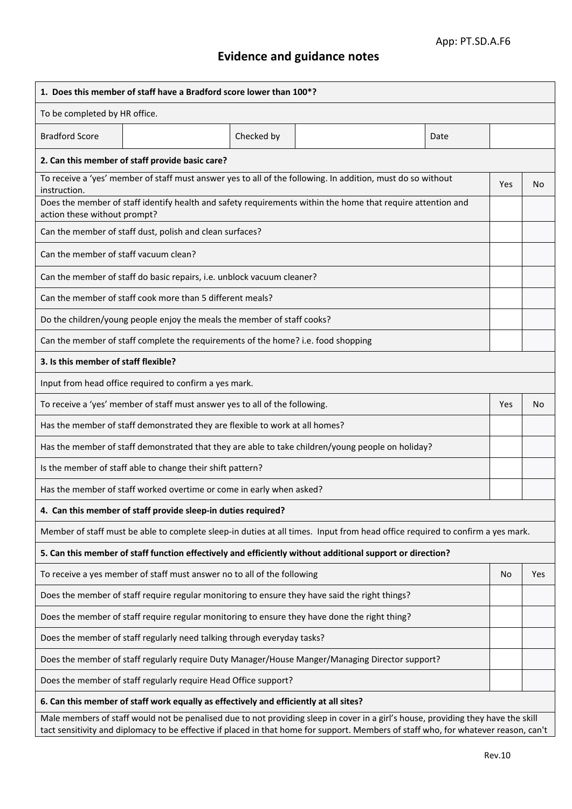# **Evidence and guidance notes**

| 1. Does this member of staff have a Bradford score lower than 100*?                                                                                                                                                                                                      |            |      |            |     |
|--------------------------------------------------------------------------------------------------------------------------------------------------------------------------------------------------------------------------------------------------------------------------|------------|------|------------|-----|
| To be completed by HR office.                                                                                                                                                                                                                                            |            |      |            |     |
| <b>Bradford Score</b>                                                                                                                                                                                                                                                    | Checked by | Date |            |     |
| 2. Can this member of staff provide basic care?                                                                                                                                                                                                                          |            |      |            |     |
| To receive a 'yes' member of staff must answer yes to all of the following. In addition, must do so without<br>instruction.                                                                                                                                              |            |      | <b>Yes</b> | No  |
| Does the member of staff identify health and safety requirements within the home that require attention and<br>action these without prompt?                                                                                                                              |            |      |            |     |
| Can the member of staff dust, polish and clean surfaces?                                                                                                                                                                                                                 |            |      |            |     |
| Can the member of staff vacuum clean?                                                                                                                                                                                                                                    |            |      |            |     |
| Can the member of staff do basic repairs, i.e. unblock vacuum cleaner?                                                                                                                                                                                                   |            |      |            |     |
| Can the member of staff cook more than 5 different meals?                                                                                                                                                                                                                |            |      |            |     |
| Do the children/young people enjoy the meals the member of staff cooks?                                                                                                                                                                                                  |            |      |            |     |
| Can the member of staff complete the requirements of the home? i.e. food shopping                                                                                                                                                                                        |            |      |            |     |
| 3. Is this member of staff flexible?                                                                                                                                                                                                                                     |            |      |            |     |
| Input from head office required to confirm a yes mark.                                                                                                                                                                                                                   |            |      |            |     |
| To receive a 'yes' member of staff must answer yes to all of the following.                                                                                                                                                                                              |            |      | <b>Yes</b> | No  |
| Has the member of staff demonstrated they are flexible to work at all homes?                                                                                                                                                                                             |            |      |            |     |
| Has the member of staff demonstrated that they are able to take children/young people on holiday?                                                                                                                                                                        |            |      |            |     |
| Is the member of staff able to change their shift pattern?                                                                                                                                                                                                               |            |      |            |     |
| Has the member of staff worked overtime or come in early when asked?                                                                                                                                                                                                     |            |      |            |     |
| 4. Can this member of staff provide sleep-in duties required?                                                                                                                                                                                                            |            |      |            |     |
| Member of staff must be able to complete sleep-in duties at all times. Input from head office required to confirm a yes mark.                                                                                                                                            |            |      |            |     |
| 5. Can this member of staff function effectively and efficiently without additional support or direction?                                                                                                                                                                |            |      |            |     |
| To receive a yes member of staff must answer no to all of the following                                                                                                                                                                                                  |            |      | No         | Yes |
| Does the member of staff require regular monitoring to ensure they have said the right things?                                                                                                                                                                           |            |      |            |     |
| Does the member of staff require regular monitoring to ensure they have done the right thing?                                                                                                                                                                            |            |      |            |     |
| Does the member of staff regularly need talking through everyday tasks?                                                                                                                                                                                                  |            |      |            |     |
| Does the member of staff regularly require Duty Manager/House Manger/Managing Director support?                                                                                                                                                                          |            |      |            |     |
| Does the member of staff regularly require Head Office support?                                                                                                                                                                                                          |            |      |            |     |
| 6. Can this member of staff work equally as effectively and efficiently at all sites?                                                                                                                                                                                    |            |      |            |     |
| Male members of staff would not be penalised due to not providing sleep in cover in a girl's house, providing they have the skill<br>tact sensitivity and diplomacy to be effective if placed in that home for support. Members of staff who, for whatever reason, can't |            |      |            |     |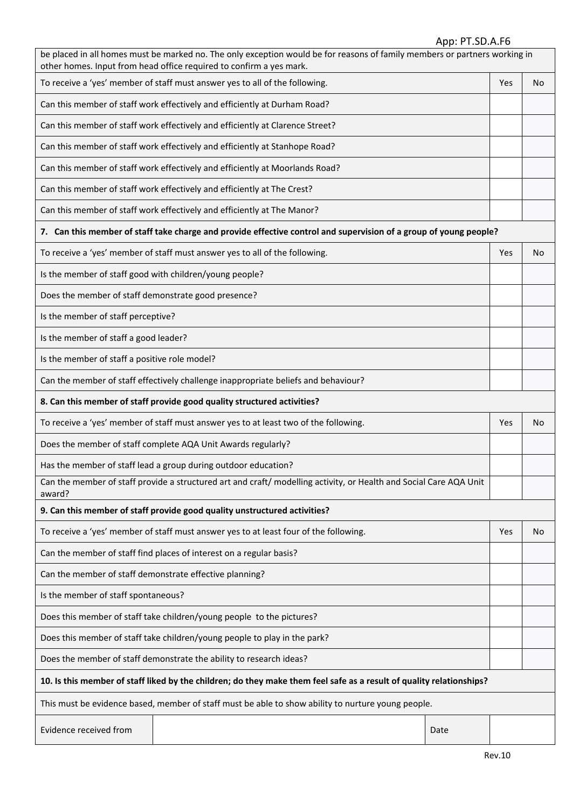#### App: PT.SD.A.F6

| be placed in all homes must be marked no. The only exception would be for reasons of family members or partners working in<br>other homes. Input from head office required to confirm a yes mark. |                                                                                                                   |      |     |    |
|---------------------------------------------------------------------------------------------------------------------------------------------------------------------------------------------------|-------------------------------------------------------------------------------------------------------------------|------|-----|----|
|                                                                                                                                                                                                   | To receive a 'yes' member of staff must answer yes to all of the following.                                       |      | Yes | No |
|                                                                                                                                                                                                   | Can this member of staff work effectively and efficiently at Durham Road?                                         |      |     |    |
|                                                                                                                                                                                                   | Can this member of staff work effectively and efficiently at Clarence Street?                                     |      |     |    |
|                                                                                                                                                                                                   | Can this member of staff work effectively and efficiently at Stanhope Road?                                       |      |     |    |
|                                                                                                                                                                                                   | Can this member of staff work effectively and efficiently at Moorlands Road?                                      |      |     |    |
|                                                                                                                                                                                                   | Can this member of staff work effectively and efficiently at The Crest?                                           |      |     |    |
|                                                                                                                                                                                                   | Can this member of staff work effectively and efficiently at The Manor?                                           |      |     |    |
|                                                                                                                                                                                                   | 7. Can this member of staff take charge and provide effective control and supervision of a group of young people? |      |     |    |
|                                                                                                                                                                                                   | To receive a 'yes' member of staff must answer yes to all of the following.                                       |      | Yes | No |
| Is the member of staff good with children/young people?                                                                                                                                           |                                                                                                                   |      |     |    |
| Does the member of staff demonstrate good presence?                                                                                                                                               |                                                                                                                   |      |     |    |
| Is the member of staff perceptive?                                                                                                                                                                |                                                                                                                   |      |     |    |
| Is the member of staff a good leader?                                                                                                                                                             |                                                                                                                   |      |     |    |
| Is the member of staff a positive role model?                                                                                                                                                     |                                                                                                                   |      |     |    |
|                                                                                                                                                                                                   | Can the member of staff effectively challenge inappropriate beliefs and behaviour?                                |      |     |    |
|                                                                                                                                                                                                   | 8. Can this member of staff provide good quality structured activities?                                           |      |     |    |
|                                                                                                                                                                                                   | To receive a 'yes' member of staff must answer yes to at least two of the following.                              |      | Yes | No |
|                                                                                                                                                                                                   | Does the member of staff complete AQA Unit Awards regularly?                                                      |      |     |    |
| Has the member of staff lead a group during outdoor education?                                                                                                                                    |                                                                                                                   |      |     |    |
| Can the member of staff provide a structured art and craft/ modelling activity, or Health and Social Care AQA Unit<br>award?                                                                      |                                                                                                                   |      |     |    |
|                                                                                                                                                                                                   | 9. Can this member of staff provide good quality unstructured activities?                                         |      |     |    |
|                                                                                                                                                                                                   | To receive a 'yes' member of staff must answer yes to at least four of the following.                             |      | Yes | No |
|                                                                                                                                                                                                   | Can the member of staff find places of interest on a regular basis?                                               |      |     |    |
| Can the member of staff demonstrate effective planning?                                                                                                                                           |                                                                                                                   |      |     |    |
| Is the member of staff spontaneous?                                                                                                                                                               |                                                                                                                   |      |     |    |
| Does this member of staff take children/young people to the pictures?                                                                                                                             |                                                                                                                   |      |     |    |
| Does this member of staff take children/young people to play in the park?                                                                                                                         |                                                                                                                   |      |     |    |
| Does the member of staff demonstrate the ability to research ideas?                                                                                                                               |                                                                                                                   |      |     |    |
| 10. Is this member of staff liked by the children; do they make them feel safe as a result of quality relationships?                                                                              |                                                                                                                   |      |     |    |
| This must be evidence based, member of staff must be able to show ability to nurture young people.                                                                                                |                                                                                                                   |      |     |    |
| Evidence received from                                                                                                                                                                            |                                                                                                                   | Date |     |    |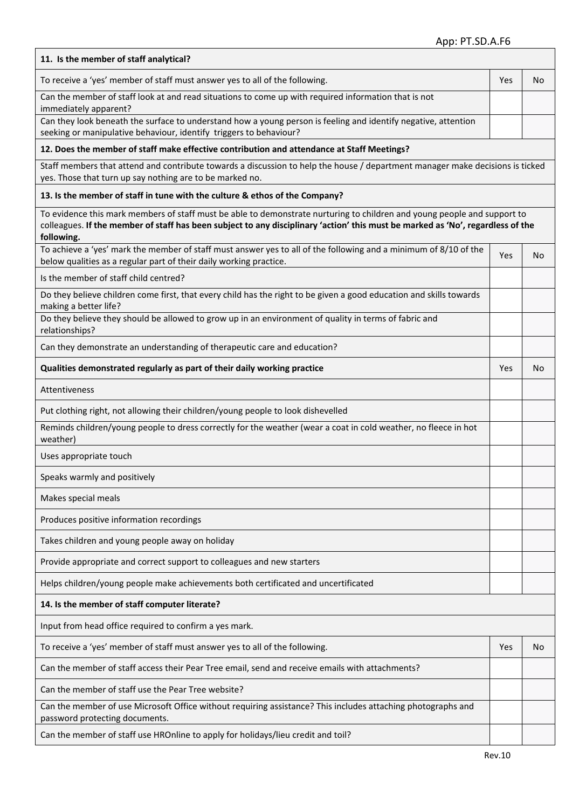| 11. Is the member of staff analytical?                                                                                                                                                                                                                                    |     |     |
|---------------------------------------------------------------------------------------------------------------------------------------------------------------------------------------------------------------------------------------------------------------------------|-----|-----|
| To receive a 'yes' member of staff must answer yes to all of the following.                                                                                                                                                                                               | Yes | No. |
| Can the member of staff look at and read situations to come up with required information that is not<br>immediately apparent?                                                                                                                                             |     |     |
| Can they look beneath the surface to understand how a young person is feeling and identify negative, attention<br>seeking or manipulative behaviour, identify triggers to behaviour?                                                                                      |     |     |
| 12. Does the member of staff make effective contribution and attendance at Staff Meetings?                                                                                                                                                                                |     |     |
| Staff members that attend and contribute towards a discussion to help the house / department manager make decisions is ticked<br>yes. Those that turn up say nothing are to be marked no.                                                                                 |     |     |
| 13. Is the member of staff in tune with the culture & ethos of the Company?                                                                                                                                                                                               |     |     |
| To evidence this mark members of staff must be able to demonstrate nurturing to children and young people and support to<br>colleagues. If the member of staff has been subject to any disciplinary 'action' this must be marked as 'No', regardless of the<br>following. |     |     |
| To achieve a 'yes' mark the member of staff must answer yes to all of the following and a minimum of 8/10 of the<br>below qualities as a regular part of their daily working practice.                                                                                    | Yes | No. |
| Is the member of staff child centred?                                                                                                                                                                                                                                     |     |     |
| Do they believe children come first, that every child has the right to be given a good education and skills towards<br>making a better life?                                                                                                                              |     |     |
| Do they believe they should be allowed to grow up in an environment of quality in terms of fabric and<br>relationships?                                                                                                                                                   |     |     |
| Can they demonstrate an understanding of therapeutic care and education?                                                                                                                                                                                                  |     |     |
| Qualities demonstrated regularly as part of their daily working practice                                                                                                                                                                                                  | Yes | No. |
| Attentiveness                                                                                                                                                                                                                                                             |     |     |
| Put clothing right, not allowing their children/young people to look dishevelled                                                                                                                                                                                          |     |     |
| Reminds children/young people to dress correctly for the weather (wear a coat in cold weather, no fleece in hot<br>weather)                                                                                                                                               |     |     |
| Uses appropriate touch                                                                                                                                                                                                                                                    |     |     |
| Speaks warmly and positively                                                                                                                                                                                                                                              |     |     |
| Makes special meals                                                                                                                                                                                                                                                       |     |     |
| Produces positive information recordings                                                                                                                                                                                                                                  |     |     |
| Takes children and young people away on holiday                                                                                                                                                                                                                           |     |     |
| Provide appropriate and correct support to colleagues and new starters                                                                                                                                                                                                    |     |     |
| Helps children/young people make achievements both certificated and uncertificated                                                                                                                                                                                        |     |     |
| 14. Is the member of staff computer literate?                                                                                                                                                                                                                             |     |     |
| Input from head office required to confirm a yes mark.                                                                                                                                                                                                                    |     |     |
| To receive a 'yes' member of staff must answer yes to all of the following.                                                                                                                                                                                               | Yes | No. |
| Can the member of staff access their Pear Tree email, send and receive emails with attachments?                                                                                                                                                                           |     |     |
| Can the member of staff use the Pear Tree website?                                                                                                                                                                                                                        |     |     |
| Can the member of use Microsoft Office without requiring assistance? This includes attaching photographs and<br>password protecting documents.                                                                                                                            |     |     |
| Can the member of staff use HROnline to apply for holidays/lieu credit and toil?                                                                                                                                                                                          |     |     |

 $\overline{1}$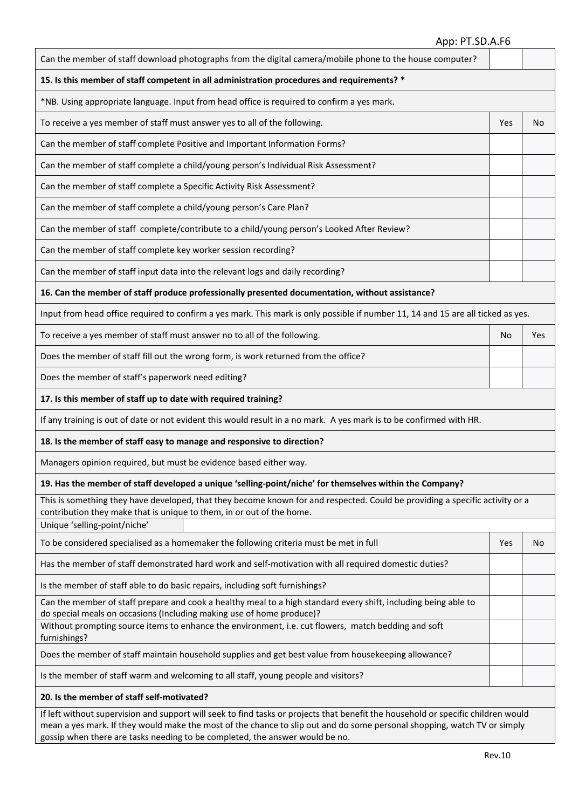#### App: PT.SD.A.F6

| Can the member of staff download photographs from the digital camera/mobile phone to the house computer?                                                                                                                                                                                                                                      |            |     |  |  |
|-----------------------------------------------------------------------------------------------------------------------------------------------------------------------------------------------------------------------------------------------------------------------------------------------------------------------------------------------|------------|-----|--|--|
| 15. Is this member of staff competent in all administration procedures and requirements? *                                                                                                                                                                                                                                                    |            |     |  |  |
| *NB. Using appropriate language. Input from head office is required to confirm a yes mark.                                                                                                                                                                                                                                                    |            |     |  |  |
| To receive a yes member of staff must answer yes to all of the following.                                                                                                                                                                                                                                                                     | <b>Yes</b> | No  |  |  |
| Can the member of staff complete Positive and Important Information Forms?                                                                                                                                                                                                                                                                    |            |     |  |  |
| Can the member of staff complete a child/young person's Individual Risk Assessment?                                                                                                                                                                                                                                                           |            |     |  |  |
| Can the member of staff complete a Specific Activity Risk Assessment?                                                                                                                                                                                                                                                                         |            |     |  |  |
| Can the member of staff complete a child/young person's Care Plan?                                                                                                                                                                                                                                                                            |            |     |  |  |
| Can the member of staff complete/contribute to a child/young person's Looked After Review?                                                                                                                                                                                                                                                    |            |     |  |  |
| Can the member of staff complete key worker session recording?                                                                                                                                                                                                                                                                                |            |     |  |  |
| Can the member of staff input data into the relevant logs and daily recording?                                                                                                                                                                                                                                                                |            |     |  |  |
| 16. Can the member of staff produce professionally presented documentation, without assistance?                                                                                                                                                                                                                                               |            |     |  |  |
| Input from head office required to confirm a yes mark. This mark is only possible if number 11, 14 and 15 are all ticked as yes.                                                                                                                                                                                                              |            |     |  |  |
| To receive a yes member of staff must answer no to all of the following.                                                                                                                                                                                                                                                                      | No         | Yes |  |  |
| Does the member of staff fill out the wrong form, is work returned from the office?                                                                                                                                                                                                                                                           |            |     |  |  |
| Does the member of staff's paperwork need editing?                                                                                                                                                                                                                                                                                            |            |     |  |  |
| 17. Is this member of staff up to date with required training?                                                                                                                                                                                                                                                                                |            |     |  |  |
| If any training is out of date or not evident this would result in a no mark. A yes mark is to be confirmed with HR.                                                                                                                                                                                                                          |            |     |  |  |
| 18. Is the member of staff easy to manage and responsive to direction?                                                                                                                                                                                                                                                                        |            |     |  |  |
| Managers opinion required, but must be evidence based either way.                                                                                                                                                                                                                                                                             |            |     |  |  |
| 19. Has the member of staff developed a unique 'selling-point/niche' for themselves within the Company?                                                                                                                                                                                                                                       |            |     |  |  |
| This is something they have developed, that they become known for and respected. Could be providing a specific activity or a<br>contribution they make that is unique to them, in or out of the home.<br>Unique 'selling-point/niche'                                                                                                         |            |     |  |  |
| To be considered specialised as a homemaker the following criteria must be met in full                                                                                                                                                                                                                                                        | Yes        | No  |  |  |
| Has the member of staff demonstrated hard work and self-motivation with all required domestic duties?                                                                                                                                                                                                                                         |            |     |  |  |
| Is the member of staff able to do basic repairs, including soft furnishings?                                                                                                                                                                                                                                                                  |            |     |  |  |
| Can the member of staff prepare and cook a healthy meal to a high standard every shift, including being able to<br>do special meals on occasions (Including making use of home produce)?                                                                                                                                                      |            |     |  |  |
| Without prompting source items to enhance the environment, i.e. cut flowers, match bedding and soft<br>furnishings?                                                                                                                                                                                                                           |            |     |  |  |
| Does the member of staff maintain household supplies and get best value from housekeeping allowance?                                                                                                                                                                                                                                          |            |     |  |  |
| Is the member of staff warm and welcoming to all staff, young people and visitors?                                                                                                                                                                                                                                                            |            |     |  |  |
| 20. Is the member of staff self-motivated?                                                                                                                                                                                                                                                                                                    |            |     |  |  |
| If left without supervision and support will seek to find tasks or projects that benefit the household or specific children would<br>mean a yes mark. If they would make the most of the chance to slip out and do some personal shopping, watch TV or simply<br>gossip when there are tasks needing to be completed, the answer would be no. |            |     |  |  |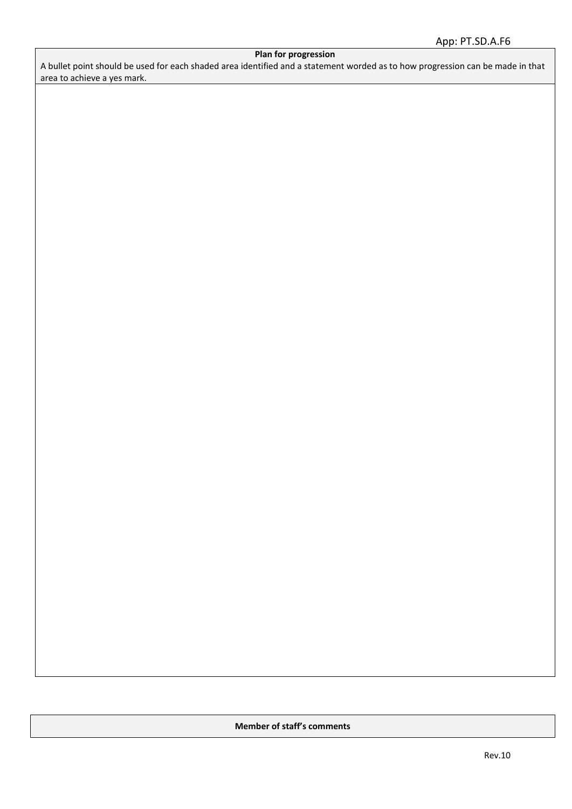#### **Plan for progression**

A bullet point should be used for each shaded area identified and a statement worded as to how progression can be made in that area to achieve a yes mark.

**Member of staff's comments**